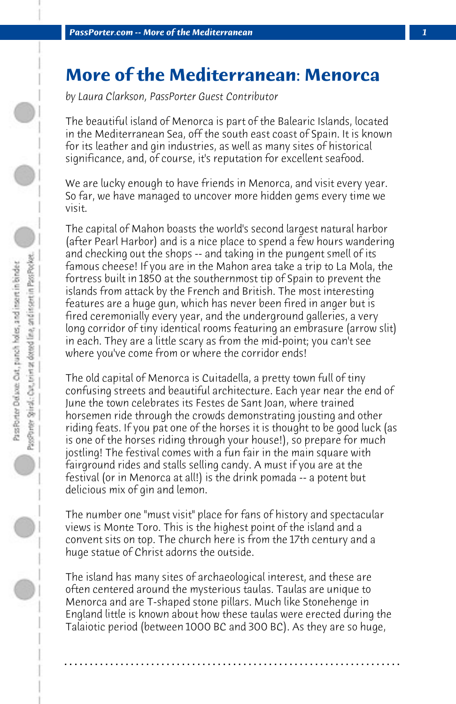## **More of the Mediterranean: Menorca**

*by Laura Clarkson, PassPorter Guest Contributor*

The beautiful island of Menorca is part of the Balearic Islands, located in the Mediterranean Sea, off the south east coast of Spain. It is known for its leather and gin industries, as well as many sites of historical significance, and, of course, it's reputation for excellent seafood.

We are lucky enough to have friends in Menorca, and visit every year. So far, we have managed to uncover more hidden gems every time we visit.

The capital of Mahon boasts the world's second largest natural harbor (after Pearl Harbor) and is a nice place to spend a few hours wandering and checking out the shops -- and taking in the pungent smell of its famous cheese! If you are in the Mahon area take a trip to La Mola, the fortress built in 1850 at the southernmost tip of Spain to prevent the islands from attack by the French and British. The most interesting features are a huge gun, which has never been fired in anger but is fired ceremonially every year, and the underground galleries, a very long corridor of tiny identical rooms featuring an embrasure (arrow slit) in each. They are a little scary as from the mid-point; you can't see where you've come from or where the corridor ends!

The old capital of Menorca is Cuitadella, a pretty town full of tiny confusing streets and beautiful architecture. Each year near the end of June the town celebrates its Festes de Sant Joan, where trained horsemen ride through the crowds demonstrating jousting and other riding feats. If you pat one of the horses it is thought to be good luck (as is one of the horses riding through your house!), so prepare for much jostling! The festival comes with a fun fair in the main square with fairground rides and stalls selling candy. A must if you are at the festival (or in Menorca at all!) is the drink pomada -- a potent but delicious mix of gin and lemon.

The number one "must visit" place for fans of history and spectacular views is Monte Toro. This is the highest point of the island and a convent sits on top. The church here is from the 17th century and a huge statue of Christ adorns the outside.

The island has many sites of archaeological interest, and these are often centered around the mysterious taulas. Taulas are unique to Menorca and are T-shaped stone pillars. Much like Stonehenge in England little is known about how these taulas were erected during the Talaiotic period (between 1000 BC and 300 BC). As they are so huge,

**. . . . . . . . . . . . . . . . . . . . . . . . . . . . . . . . . . . . . . . . . . . . . . . . . . . . . . . . . . . . . . . . . .**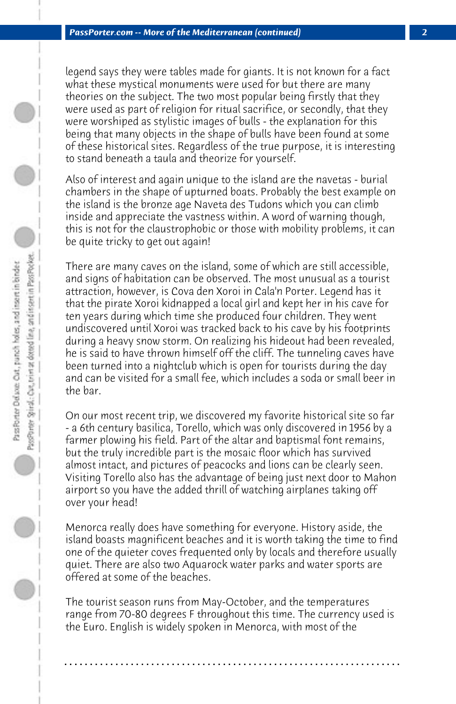legend says they were tables made for giants. It is not known for a fact what these mystical monuments were used for but there are many theories on the subject. The two most popular being firstly that they were used as part of religion for ritual sacrifice, or secondly, that they were worshiped as stylistic images of bulls - the explanation for this being that many objects in the shape of bulls have been found at some of these historical sites. Regardless of the true purpose, it is interesting to stand beneath a taula and theorize for yourself.

Also of interest and again unique to the island are the navetas - burial chambers in the shape of upturned boats. Probably the best example on the island is the bronze age Naveta des Tudons which you can climb inside and appreciate the vastness within. A word of warning though, this is not for the claustrophobic or those with mobility problems, it can be quite tricky to get out again!

There are many caves on the island, some of which are still accessible, and signs of habitation can be observed. The most unusual as a tourist attraction, however, is Cova den Xoroi in Cala'n Porter. Legend has it that the pirate Xoroi kidnapped a local girl and kept her in his cave for ten years during which time she produced four children. They went undiscovered until Xoroi was tracked back to his cave by his footprints during a heavy snow storm. On realizing his hideout had been revealed, he is said to have thrown himself off the cliff. The tunneling caves have been turned into a nightclub which is open for tourists during the day and can be visited for a small fee, which includes a soda or small beer in the bar.

On our most recent trip, we discovered my favorite historical site so far - a 6th century basilica, Torello, which was only discovered in 1956 by a farmer plowing his field. Part of the altar and baptismal font remains, but the truly incredible part is the mosaic floor which has survived almost intact, and pictures of peacocks and lions can be clearly seen. Visiting Torello also has the advantage of being just next door to Mahon airport so you have the added thrill of watching airplanes taking off over your head!

Menorca really does have something for everyone. History aside, the island boasts magnificent beaches and it is worth taking the time to find one of the quieter coves frequented only by locals and therefore usually quiet. There are also two Aquarock water parks and water sports are offered at some of the beaches.

The tourist season runs from May-October, and the temperatures range from 70-80 degrees F throughout this time. The currency used is the Euro. English is widely spoken in Menorca, with most of the

**. . . . . . . . . . . . . . . . . . . . . . . . . . . . . . . . . . . . . . . . . . . . . . . . . . . . . . . . . . . . . . . . . .**